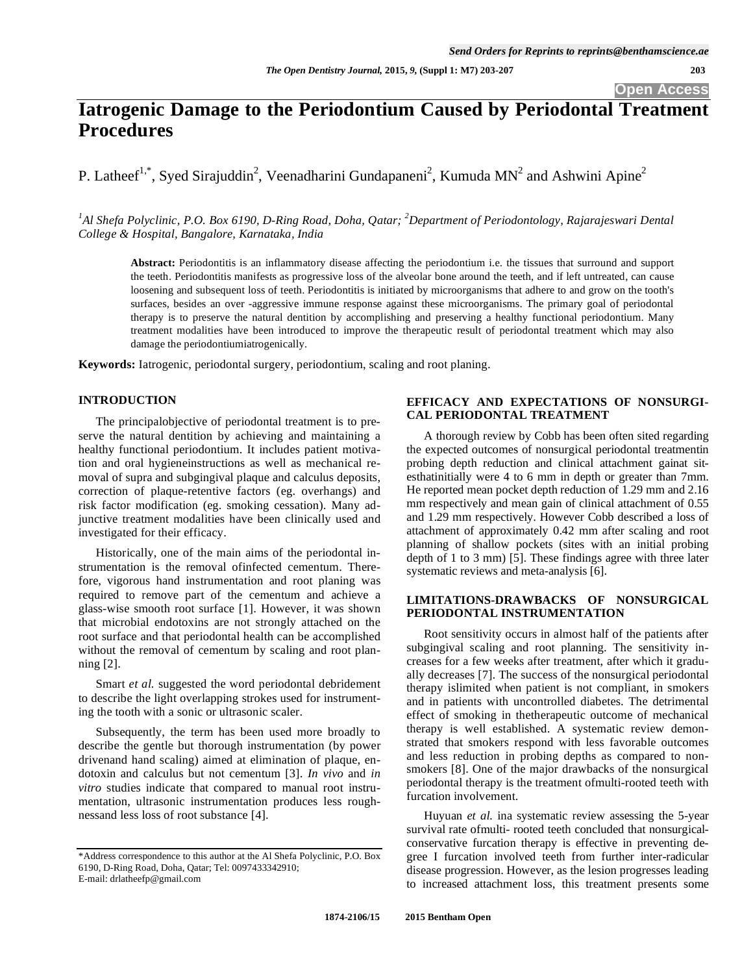# **Iatrogenic Damage to the Periodontium Caused by Periodontal Treatment Procedures**

P. Latheef<sup>1,\*</sup>, Syed Sirajuddin<sup>2</sup>, Veenadharini Gundapaneni<sup>2</sup>, Kumuda MN<sup>2</sup> and Ashwini Apine<sup>2</sup>

<sup>1</sup>Al Shefa Polyclinic, P.O. Box 6190, D-Ring Road, Doha, Qatar; <sup>2</sup>Department of Periodontology, Rajarajeswari Dental *College & Hospital, Bangalore, Karnataka, India*

**Abstract:** Periodontitis is an inflammatory disease affecting the periodontium i.e. the tissues that surround and support the teeth. Periodontitis manifests as progressive loss of the alveolar bone around the teeth, and if left untreated, can cause loosening and subsequent loss of teeth. Periodontitis is initiated by microorganisms that adhere to and grow on the tooth's surfaces, besides an over -aggressive immune response against these microorganisms. The primary goal of periodontal therapy is to preserve the natural dentition by accomplishing and preserving a healthy functional periodontium. Many treatment modalities have been introduced to improve the therapeutic result of periodontal treatment which may also damage the periodontiumiatrogenically.

**Keywords:** Iatrogenic, periodontal surgery, periodontium, scaling and root planing.

# **INTRODUCTION**

The principalobjective of periodontal treatment is to preserve the natural dentition by achieving and maintaining a healthy functional periodontium. It includes patient motivation and oral hygieneinstructions as well as mechanical removal of supra and subgingival plaque and calculus deposits, correction of plaque-retentive factors (eg. overhangs) and risk factor modification (eg. smoking cessation). Many adjunctive treatment modalities have been clinically used and investigated for their efficacy.

Historically, one of the main aims of the periodontal instrumentation is the removal ofinfected cementum. Therefore, vigorous hand instrumentation and root planing was required to remove part of the cementum and achieve a glass-wise smooth root surface [1]. However, it was shown that microbial endotoxins are not strongly attached on the root surface and that periodontal health can be accomplished without the removal of cementum by scaling and root planning [2].

Smart *et al.* suggested the word periodontal debridement to describe the light overlapping strokes used for instrumenting the tooth with a sonic or ultrasonic scaler.

Subsequently, the term has been used more broadly to describe the gentle but thorough instrumentation (by power drivenand hand scaling) aimed at elimination of plaque, endotoxin and calculus but not cementum [3]. *In vivo* and *in vitro* studies indicate that compared to manual root instrumentation, ultrasonic instrumentation produces less roughnessand less loss of root substance [4].

#### E-mail: drlatheefp@gmail.com

# **EFFICACY AND EXPECTATIONS OF NONSURGI-CAL PERIODONTAL TREATMENT**

A thorough review by Cobb has been often sited regarding the expected outcomes of nonsurgical periodontal treatmentin probing depth reduction and clinical attachment gainat sitesthatinitially were 4 to 6 mm in depth or greater than 7mm. He reported mean pocket depth reduction of 1.29 mm and 2.16 mm respectively and mean gain of clinical attachment of  $0.55$ and 1.29 mm respectively. However Cobb described a loss of attachment of approximately 0.42 mm after scaling and root planning of shallow pockets (sites with an initial probing depth of 1 to 3 mm) [5]. These findings agree with three later systematic reviews and meta-analysis [6].

### **LIMITATIONS-DRAWBACKS OF NONSURGICAL PERIODONTAL INSTRUMENTATION**

Root sensitivity occurs in almost half of the patients after subgingival scaling and root planning. The sensitivity increases for a few weeks after treatment, after which it gradually decreases [7]. The success of the nonsurgical periodontal therapy islimited when patient is not compliant, in smokers and in patients with uncontrolled diabetes. The detrimental effect of smoking in thetherapeutic outcome of mechanical therapy is well established. A systematic review demonstrated that smokers respond with less favorable outcomes and less reduction in probing depths as compared to nonsmokers [8]. One of the major drawbacks of the nonsurgical periodontal therapy is the treatment ofmulti-rooted teeth with furcation involvement.

Huyuan *et al.* ina systematic review assessing the 5-year survival rate ofmulti- rooted teeth concluded that nonsurgicalconservative furcation therapy is effective in preventing degree I furcation involved teeth from further inter-radicular disease progression. However, as the lesion progresses leading to increased attachment loss, this treatment presents some

<sup>\*</sup>Address correspondence to this author at the Al Shefa Polyclinic, P.O. Box 6190, D-Ring Road, Doha, Qatar; Tel: 0097433342910;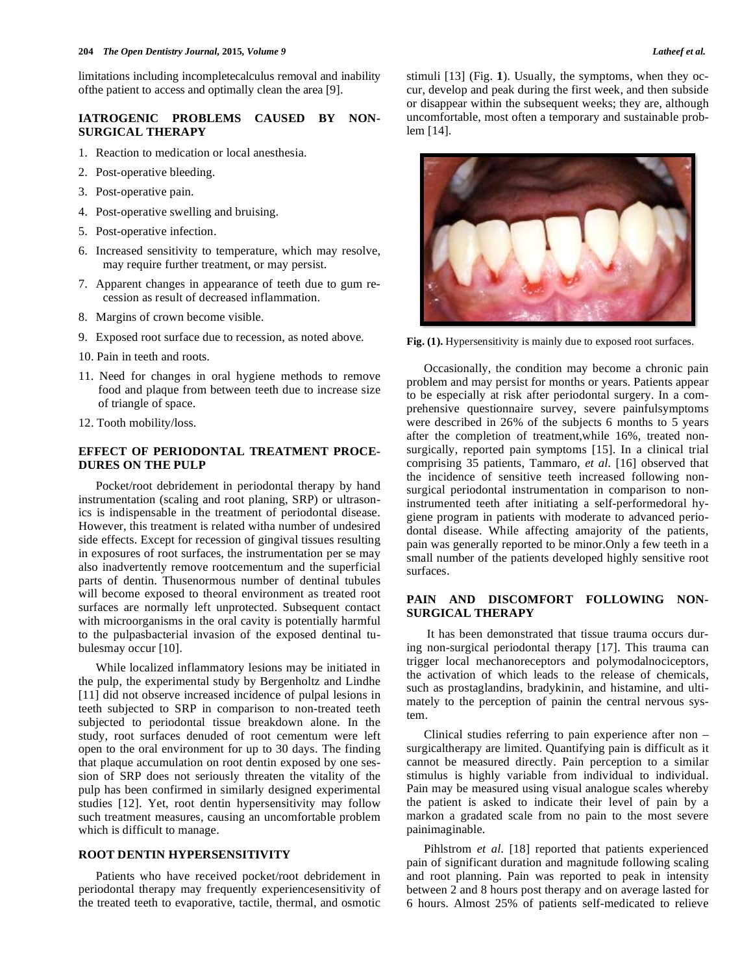limitations including incompletecalculus removal and inability ofthe patient to access and optimally clean the area [9].

# **IATROGENIC PROBLEMS CAUSED BY NON-SURGICAL THERAPY**

- 1. Reaction to medication or local anesthesia.
- 2. Post-operative bleeding.
- 3. Post-operative pain.
- 4. Post-operative swelling and bruising.
- 5. Post-operative infection.
- 6. Increased sensitivity to temperature, which may resolve, may require further treatment, or may persist.
- 7. Apparent changes in appearance of teeth due to gum recession as result of decreased inflammation.
- 8. Margins of crown become visible.
- 9. Exposed root surface due to recession, as noted above.
- 10. Pain in teeth and roots.
- 11. Need for changes in oral hygiene methods to remove food and plaque from between teeth due to increase size of triangle of space.
- 12. Tooth mobility/loss.

### **EFFECT OF PERIODONTAL TREATMENT PROCE-DURES ON THE PULP**

Pocket/root debridement in periodontal therapy by hand instrumentation (scaling and root planing, SRP) or ultrasonics is indispensable in the treatment of periodontal disease. However, this treatment is related witha number of undesired side effects. Except for recession of gingival tissues resulting in exposures of root surfaces, the instrumentation per se may also inadvertently remove rootcementum and the superficial parts of dentin. Thusenormous number of dentinal tubules will become exposed to theoral environment as treated root surfaces are normally left unprotected. Subsequent contact with microorganisms in the oral cavity is potentially harmful to the pulpasbacterial invasion of the exposed dentinal tubulesmay occur [10].

While localized inflammatory lesions may be initiated in the pulp, the experimental study by Bergenholtz and Lindhe [11] did not observe increased incidence of pulpal lesions in teeth subjected to SRP in comparison to non-treated teeth subjected to periodontal tissue breakdown alone. In the study, root surfaces denuded of root cementum were left open to the oral environment for up to 30 days. The finding that plaque accumulation on root dentin exposed by one session of SRP does not seriously threaten the vitality of the pulp has been confirmed in similarly designed experimental studies [12]. Yet, root dentin hypersensitivity may follow such treatment measures, causing an uncomfortable problem which is difficult to manage.

# **ROOT DENTIN HYPERSENSITIVITY**

Patients who have received pocket/root debridement in periodontal therapy may frequently experiencesensitivity of the treated teeth to evaporative, tactile, thermal, and osmotic

stimuli [13] (Fig. **1**). Usually, the symptoms, when they occur, develop and peak during the first week, and then subside or disappear within the subsequent weeks; they are, although uncomfortable, most often a temporary and sustainable problem [14].



Fig. (1). Hypersensitivity is mainly due to exposed root surfaces.

Occasionally, the condition may become a chronic pain problem and may persist for months or years. Patients appear to be especially at risk after periodontal surgery. In a comprehensive questionnaire survey, severe painfulsymptoms were described in 26% of the subjects 6 months to 5 years after the completion of treatment,while 16%, treated nonsurgically, reported pain symptoms [15]. In a clinical trial comprising 35 patients, Tammaro, *et al.* [16] observed that the incidence of sensitive teeth increased following nonsurgical periodontal instrumentation in comparison to noninstrumented teeth after initiating a self-performedoral hygiene program in patients with moderate to advanced periodontal disease. While affecting amajority of the patients, pain was generally reported to be minor.Only a few teeth in a small number of the patients developed highly sensitive root surfaces.

# **PAIN AND DISCOMFORT FOLLOWING NON-SURGICAL THERAPY**

 It has been demonstrated that tissue trauma occurs during non-surgical periodontal therapy [17]. This trauma can trigger local mechanoreceptors and polymodalnociceptors, the activation of which leads to the release of chemicals, such as prostaglandins, bradykinin, and histamine, and ultimately to the perception of painin the central nervous system.

Clinical studies referring to pain experience after non – surgicaltherapy are limited. Quantifying pain is difficult as it cannot be measured directly. Pain perception to a similar stimulus is highly variable from individual to individual. Pain may be measured using visual analogue scales whereby the patient is asked to indicate their level of pain by a markon a gradated scale from no pain to the most severe painimaginable.

Pihlstrom *et al.* [18] reported that patients experienced pain of significant duration and magnitude following scaling and root planning. Pain was reported to peak in intensity between 2 and 8 hours post therapy and on average lasted for 6 hours. Almost 25% of patients self-medicated to relieve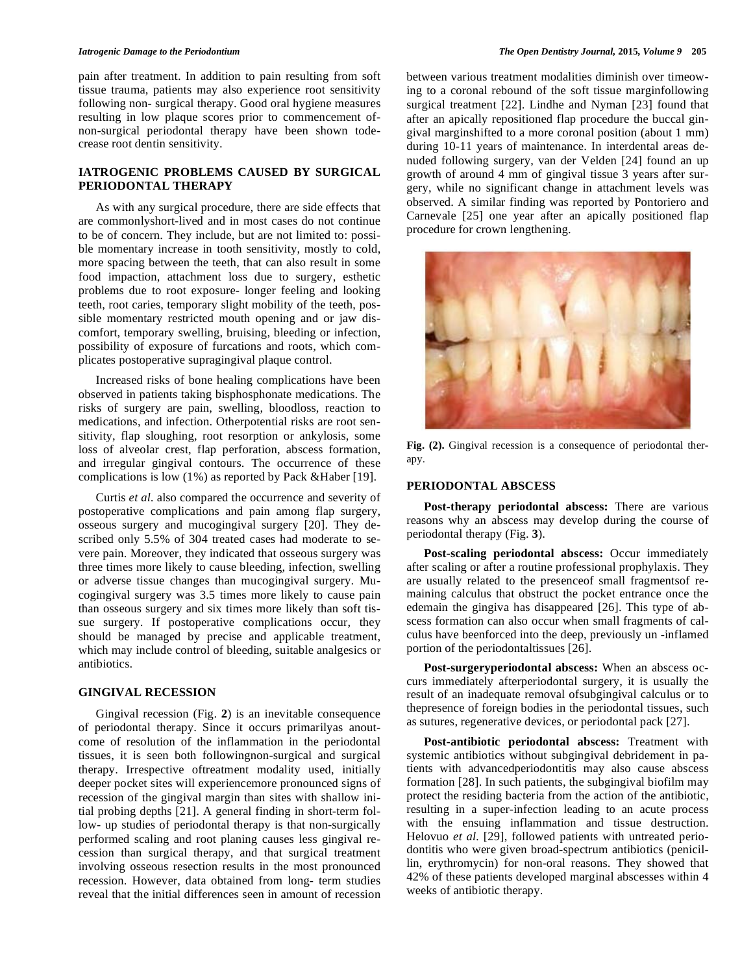pain after treatment. In addition to pain resulting from soft tissue trauma, patients may also experience root sensitivity following non- surgical therapy. Good oral hygiene measures resulting in low plaque scores prior to commencement ofnon-surgical periodontal therapy have been shown todecrease root dentin sensitivity.

# **IATROGENIC PROBLEMS CAUSED BY SURGICAL PERIODONTAL THERAPY**

As with any surgical procedure, there are side effects that are commonlyshort-lived and in most cases do not continue to be of concern. They include, but are not limited to: possible momentary increase in tooth sensitivity, mostly to cold, more spacing between the teeth, that can also result in some food impaction, attachment loss due to surgery, esthetic problems due to root exposure- longer feeling and looking teeth, root caries, temporary slight mobility of the teeth, possible momentary restricted mouth opening and or jaw discomfort, temporary swelling, bruising, bleeding or infection, possibility of exposure of furcations and roots, which complicates postoperative supragingival plaque control.

Increased risks of bone healing complications have been observed in patients taking bisphosphonate medications. The risks of surgery are pain, swelling, bloodloss, reaction to medications, and infection. Otherpotential risks are root sensitivity, flap sloughing, root resorption or ankylosis, some loss of alveolar crest, flap perforation, abscess formation, and irregular gingival contours. The occurrence of these complications is low (1%) as reported by Pack &Haber [19].

Curtis *et al.* also compared the occurrence and severity of postoperative complications and pain among flap surgery, osseous surgery and mucogingival surgery [20]. They described only 5.5% of 304 treated cases had moderate to severe pain. Moreover, they indicated that osseous surgery was three times more likely to cause bleeding, infection, swelling or adverse tissue changes than mucogingival surgery. Mucogingival surgery was 3.5 times more likely to cause pain than osseous surgery and six times more likely than soft tissue surgery. If postoperative complications occur, they should be managed by precise and applicable treatment, which may include control of bleeding, suitable analgesics or antibiotics.

#### **GINGIVAL RECESSION**

Gingival recession (Fig. **2**) is an inevitable consequence of periodontal therapy. Since it occurs primarilyas anoutcome of resolution of the inflammation in the periodontal tissues, it is seen both followingnon-surgical and surgical therapy. Irrespective oftreatment modality used, initially deeper pocket sites will experiencemore pronounced signs of recession of the gingival margin than sites with shallow initial probing depths [21]. A general finding in short-term follow- up studies of periodontal therapy is that non-surgically performed scaling and root planing causes less gingival recession than surgical therapy, and that surgical treatment involving osseous resection results in the most pronounced recession. However, data obtained from long- term studies reveal that the initial differences seen in amount of recession

between various treatment modalities diminish over timeowing to a coronal rebound of the soft tissue marginfollowing surgical treatment [22]. Lindhe and Nyman [23] found that after an apically repositioned flap procedure the buccal gingival marginshifted to a more coronal position (about 1 mm) during 10-11 years of maintenance. In interdental areas denuded following surgery, van der Velden [24] found an up growth of around 4 mm of gingival tissue 3 years after surgery, while no significant change in attachment levels was observed. A similar finding was reported by Pontoriero and Carnevale [25] one year after an apically positioned flap procedure for crown lengthening.



**Fig. (2).** Gingival recession is a consequence of periodontal therapy.

### **PERIODONTAL ABSCESS**

**Post-therapy periodontal abscess:** There are various reasons why an abscess may develop during the course of periodontal therapy (Fig. **3**).

**Post-scaling periodontal abscess:** Occur immediately after scaling or after a routine professional prophylaxis. They are usually related to the presenceof small fragmentsof remaining calculus that obstruct the pocket entrance once the edemain the gingiva has disappeared [26]. This type of abscess formation can also occur when small fragments of calculus have beenforced into the deep, previously un -inflamed portion of the periodontaltissues [26].

**Post-surgeryperiodontal abscess:** When an abscess occurs immediately afterperiodontal surgery, it is usually the result of an inadequate removal ofsubgingival calculus or to thepresence of foreign bodies in the periodontal tissues, such as sutures, regenerative devices, or periodontal pack [27].

**Post-antibiotic periodontal abscess:** Treatment with systemic antibiotics without subgingival debridement in patients with advancedperiodontitis may also cause abscess formation [28]. In such patients, the subgingival biofilm may protect the residing bacteria from the action of the antibiotic, resulting in a super-infection leading to an acute process with the ensuing inflammation and tissue destruction. Helovuo et al. [29], followed patients with untreated periodontitis who were given broad-spectrum antibiotics (penicillin, erythromycin) for non-oral reasons. They showed that 42% of these patients developed marginal abscesses within 4 weeks of antibiotic therapy.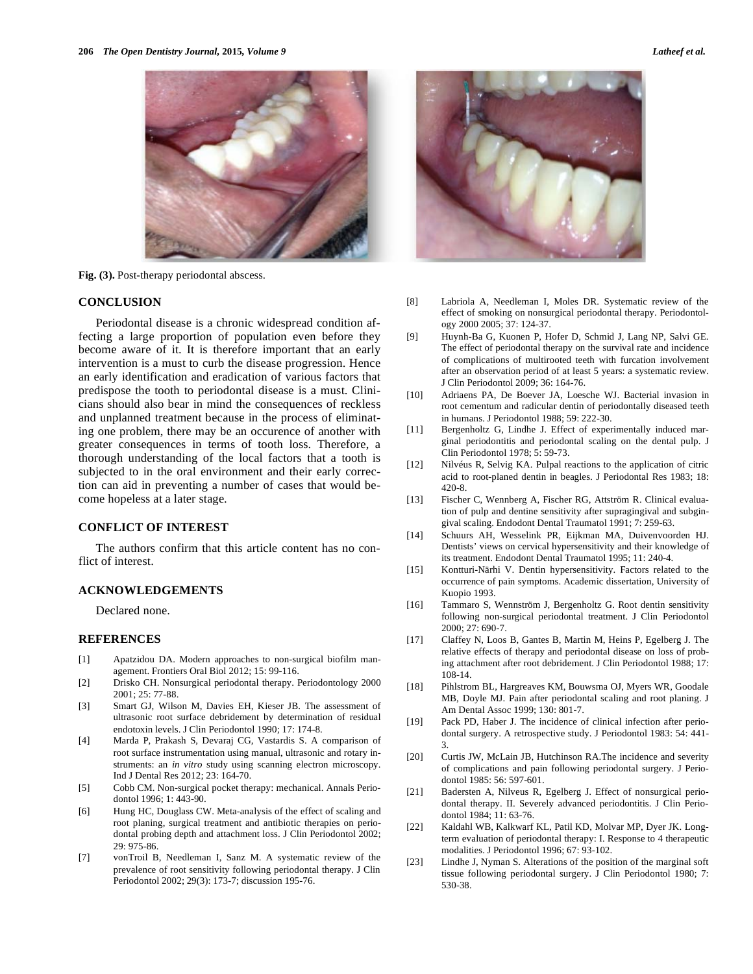

**Fig. (3).** Post-therapy periodontal abscess.

#### **CONCLUSION**

Periodontal disease is a chronic widespread condition affecting a large proportion of population even before they become aware of it. It is therefore important that an early intervention is a must to curb the disease progression. Hence an early identification and eradication of various factors that predispose the tooth to periodontal disease is a must. Clinicians should also bear in mind the consequences of reckless and unplanned treatment because in the process of eliminating one problem, there may be an occurence of another with greater consequences in terms of tooth loss. Therefore, a thorough understanding of the local factors that a tooth is subjected to in the oral environment and their early correction can aid in preventing a number of cases that would become hopeless at a later stage.

# **CONFLICT OF INTEREST**

The authors confirm that this article content has no conflict of interest.

#### **ACKNOWLEDGEMENTS**

Declared none.

#### **REFERENCES**

- [1] Apatzidou DA. Modern approaches to non-surgical biofilm management. Frontiers Oral Biol 2012; 15: 99-116.
- [2] Drisko CH. Nonsurgical periodontal therapy. Periodontology 2000 2001; 25: 77-88.
- [3] Smart GJ, Wilson M, Davies EH, Kieser JB. The assessment of ultrasonic root surface debridement by determination of residual endotoxin levels. J Clin Periodontol 1990; 17: 174-8.
- [4] Marda P, Prakash S, Devaraj CG, Vastardis S. A comparison of root surface instrumentation using manual, ultrasonic and rotary instruments: an *in vitro* study using scanning electron microscopy. Ind J Dental Res 2012; 23: 164-70.
- [5] Cobb CM. Non-surgical pocket therapy: mechanical. Annals Periodontol 1996; 1: 443-90.
- [6] Hung HC, Douglass CW. Meta-analysis of the effect of scaling and root planing, surgical treatment and antibiotic therapies on periodontal probing depth and attachment loss. J Clin Periodontol 2002; 29: 975-86.
- [7] vonTroil B, Needleman I, Sanz M. A systematic review of the prevalence of root sensitivity following periodontal therapy. J Clin Periodontol 2002; 29(3): 173-7; discussion 195-76.



- [8] Labriola A, Needleman I, Moles DR. Systematic review of the effect of smoking on nonsurgical periodontal therapy. Periodontology 2000 2005; 37: 124-37.
- [9] Huynh-Ba G, Kuonen P, Hofer D, Schmid J, Lang NP, Salvi GE. The effect of periodontal therapy on the survival rate and incidence of complications of multirooted teeth with furcation involvement after an observation period of at least 5 years: a systematic review. J Clin Periodontol 2009; 36: 164-76.
- [10] Adriaens PA, De Boever JA, Loesche WJ. Bacterial invasion in root cementum and radicular dentin of periodontally diseased teeth in humans. J Periodontol 1988; 59: 222-30.
- [11] Bergenholtz G, Lindhe J. Effect of experimentally induced marginal periodontitis and periodontal scaling on the dental pulp. J Clin Periodontol 1978; 5: 59-73.
- [12] Nilvéus R, Selvig KA. Pulpal reactions to the application of citric acid to root-planed dentin in beagles. J Periodontal Res 1983; 18: 420-8.
- [13] Fischer C, Wennberg A, Fischer RG, Attström R. Clinical evaluation of pulp and dentine sensitivity after supragingival and subgingival scaling. Endodont Dental Traumatol 1991; 7: 259-63.
- [14] Schuurs AH, Wesselink PR, Eijkman MA, Duivenvoorden HJ. Dentists' views on cervical hypersensitivity and their knowledge of its treatment. Endodont Dental Traumatol 1995; 11: 240-4.
- [15] Kontturi-Närhi V. Dentin hypersensitivity. Factors related to the occurrence of pain symptoms. Academic dissertation, University of Kuopio 1993.
- [16] Tammaro S, Wennström J, Bergenholtz G. Root dentin sensitivity following non-surgical periodontal treatment. J Clin Periodontol 2000; 27: 690-7.
- [17] Claffey N, Loos B, Gantes B, Martin M, Heins P, Egelberg J. The relative effects of therapy and periodontal disease on loss of probing attachment after root debridement. J Clin Periodontol 1988; 17: 108-14.
- [18] Pihlstrom BL, Hargreaves KM, Bouwsma OJ, Myers WR, Goodale MB, Doyle MJ. Pain after periodontal scaling and root planing. J Am Dental Assoc 1999; 130: 801-7.
- [19] Pack PD, Haber J. The incidence of clinical infection after periodontal surgery. A retrospective study. J Periodontol 1983: 54: 441- 3.
- [20] Curtis JW, McLain JB, Hutchinson RA.The incidence and severity of complications and pain following periodontal surgery. J Periodontol 1985: 56: 597-601.
- [21] Badersten A, Nilveus R, Egelberg J. Effect of nonsurgical periodontal therapy. II. Severely advanced periodontitis. J Clin Periodontol 1984; 11: 63-76.
- [22] Kaldahl WB, Kalkwarf KL, Patil KD, Molvar MP, Dyer JK. Longterm evaluation of periodontal therapy: I. Response to 4 therapeutic modalities. J Periodontol 1996; 67: 93-102.
- [23] Lindhe J, Nyman S. Alterations of the position of the marginal soft tissue following periodontal surgery. J Clin Periodontol 1980; 7: 530-38.